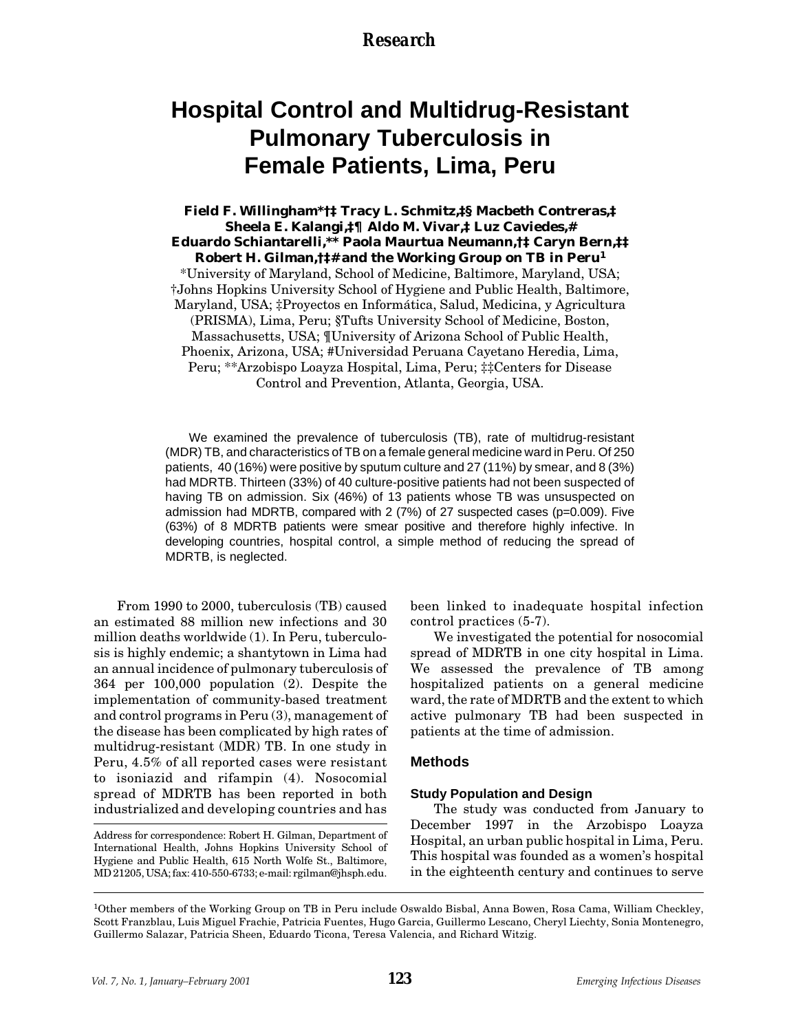### *Research*

# **Hospital Control and Multidrug-Resistant Pulmonary Tuberculosis in Female Patients, Lima, Peru**

**Field F. Willingham\*†‡ Tracy L. Schmitz,‡§ Macbeth Contreras,‡ Sheela E. Kalangi,‡¶ Aldo M. Vivar,‡ Luz Caviedes,# Eduardo Schiantarelli,\*\* Paola Maurtua Neumann,†‡ Caryn Bern,‡‡ Robert H. Gilman,†‡# and the Working Group on TB in Peru<sup>1</sup>** \*University of Maryland, School of Medicine, Baltimore, Maryland, USA; †Johns Hopkins University School of Hygiene and Public Health, Baltimore, Maryland, USA; ‡Proyectos en Informática, Salud, Medicina, y Agricultura (PRISMA), Lima, Peru; §Tufts University School of Medicine, Boston, Massachusetts, USA; ¶University of Arizona School of Public Health, Phoenix, Arizona, USA; #Universidad Peruana Cayetano Heredia, Lima, Peru; \*\*Arzobispo Loayza Hospital, Lima, Peru; ‡‡Centers for Disease Control and Prevention, Atlanta, Georgia, USA.

We examined the prevalence of tuberculosis (TB), rate of multidrug-resistant (MDR) TB, and characteristics of TB on a female general medicine ward in Peru. Of 250 patients, 40 (16%) were positive by sputum culture and 27 (11%) by smear, and 8 (3%) had MDRTB. Thirteen (33%) of 40 culture-positive patients had not been suspected of having TB on admission. Six (46%) of 13 patients whose TB was unsuspected on admission had MDRTB, compared with  $2(7%)$  of 27 suspected cases (p=0.009). Five (63%) of 8 MDRTB patients were smear positive and therefore highly infective. In developing countries, hospital control, a simple method of reducing the spread of MDRTB, is neglected.

From 1990 to 2000, tuberculosis (TB) caused an estimated 88 million new infections and 30 million deaths worldwide (1). In Peru, tuberculosis is highly endemic; a shantytown in Lima had an annual incidence of pulmonary tuberculosis of 364 per 100,000 population (2). Despite the implementation of community-based treatment and control programs in Peru (3), management of the disease has been complicated by high rates of multidrug-resistant (MDR) TB. In one study in Peru, 4.5% of all reported cases were resistant to isoniazid and rifampin (4). Nosocomial spread of MDRTB has been reported in both industrialized and developing countries and has

Address for correspondence: Robert H. Gilman, Department of International Health, Johns Hopkins University School of Hygiene and Public Health, 615 North Wolfe St., Baltimore, MD 21205, USA; fax: 410-550-6733; e-mail: rgilman@jhsph.edu.

been linked to inadequate hospital infection control practices (5-7).

We investigated the potential for nosocomial spread of MDRTB in one city hospital in Lima. We assessed the prevalence of TB among hospitalized patients on a general medicine ward, the rate of MDRTB and the extent to which active pulmonary TB had been suspected in patients at the time of admission.

#### **Methods**

#### **Study Population and Design**

The study was conducted from January to December 1997 in the Arzobispo Loayza Hospital, an urban public hospital in Lima, Peru. This hospital was founded as a women's hospital in the eighteenth century and continues to serve

<sup>1</sup>Other members of the Working Group on TB in Peru include Oswaldo Bisbal, Anna Bowen, Rosa Cama, William Checkley, Scott Franzblau, Luis Miguel Frachie, Patricia Fuentes, Hugo Garcia, Guillermo Lescano, Cheryl Liechty, Sonia Montenegro, Guillermo Salazar, Patricia Sheen, Eduardo Ticona, Teresa Valencia, and Richard Witzig.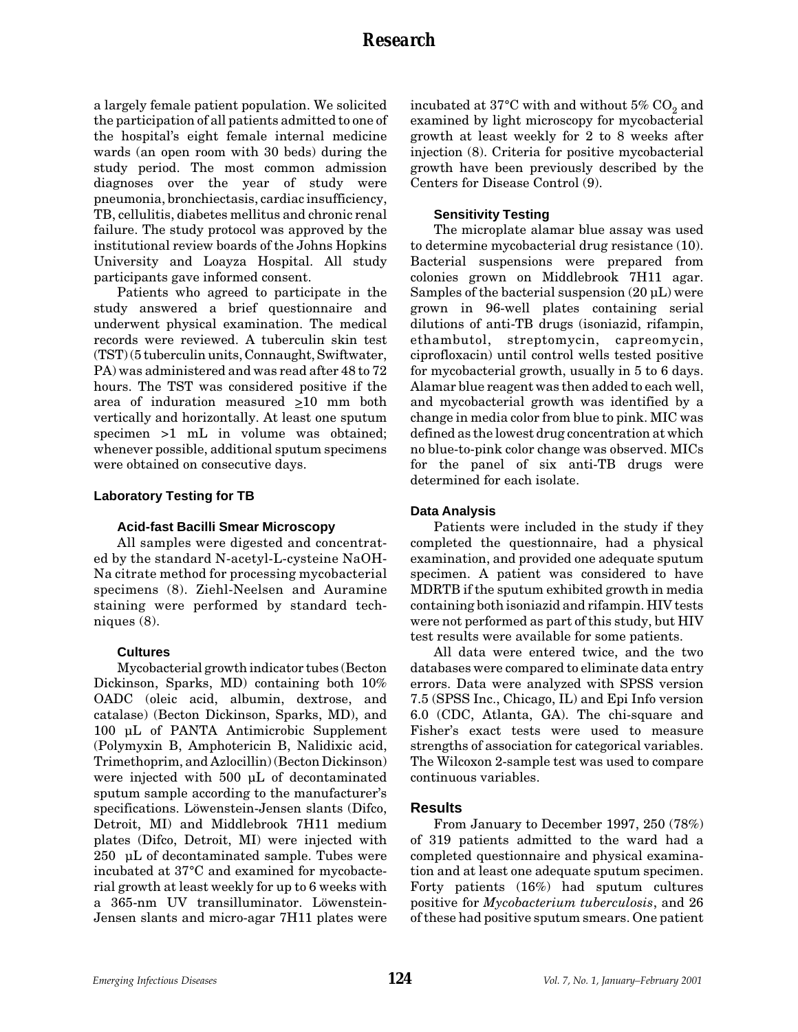a largely female patient population. We solicited the participation of all patients admitted to one of the hospital's eight female internal medicine wards (an open room with 30 beds) during the study period. The most common admission diagnoses over the year of study were pneumonia, bronchiectasis, cardiac insufficiency, TB, cellulitis, diabetes mellitus and chronic renal failure. The study protocol was approved by the institutional review boards of the Johns Hopkins University and Loayza Hospital. All study participants gave informed consent.

Patients who agreed to participate in the study answered a brief questionnaire and underwent physical examination. The medical records were reviewed. A tuberculin skin test (TST) (5 tuberculin units, Connaught, Swiftwater, PA) was administered and was read after 48 to 72 hours. The TST was considered positive if the area of induration measured  $\geq 10$  mm both vertically and horizontally. At least one sputum specimen >1 mL in volume was obtained; whenever possible, additional sputum specimens were obtained on consecutive days.

#### **Laboratory Testing for TB**

#### **Acid-fast Bacilli Smear Microscopy**

All samples were digested and concentrated by the standard N-acetyl-L-cysteine NaOH-Na citrate method for processing mycobacterial specimens (8). Ziehl-Neelsen and Auramine staining were performed by standard techniques (8).

#### **Cultures**

Mycobacterial growth indicator tubes (Becton Dickinson, Sparks, MD) containing both 10% OADC (oleic acid, albumin, dextrose, and catalase) (Becton Dickinson, Sparks, MD), and 100 µL of PANTA Antimicrobic Supplement (Polymyxin B, Amphotericin B, Nalidixic acid, Trimethoprim, and Azlocillin) (Becton Dickinson) were injected with 500 µL of decontaminated sputum sample according to the manufacturer's specifications. Löwenstein-Jensen slants (Difco, Detroit, MI) and Middlebrook 7H11 medium plates (Difco, Detroit, MI) were injected with 250 µL of decontaminated sample. Tubes were incubated at 37°C and examined for mycobacterial growth at least weekly for up to 6 weeks with a 365-nm UV transilluminator. Löwenstein-Jensen slants and micro-agar 7H11 plates were incubated at 37°C with and without  $5\%$  CO<sub>2</sub> and examined by light microscopy for mycobacterial growth at least weekly for 2 to 8 weeks after injection (8). Criteria for positive mycobacterial growth have been previously described by the Centers for Disease Control (9).

#### **Sensitivity Testing**

The microplate alamar blue assay was used to determine mycobacterial drug resistance (10). Bacterial suspensions were prepared from colonies grown on Middlebrook 7H11 agar. Samples of the bacterial suspension  $(20 \mu L)$  were grown in 96-well plates containing serial dilutions of anti-TB drugs (isoniazid, rifampin, ethambutol, streptomycin, capreomycin, ciprofloxacin) until control wells tested positive for mycobacterial growth, usually in 5 to 6 days. Alamar blue reagent was then added to each well, and mycobacterial growth was identified by a change in media color from blue to pink. MIC was defined as the lowest drug concentration at which no blue-to-pink color change was observed. MICs for the panel of six anti-TB drugs were determined for each isolate.

#### **Data Analysis**

Patients were included in the study if they completed the questionnaire, had a physical examination, and provided one adequate sputum specimen. A patient was considered to have MDRTB if the sputum exhibited growth in media containing both isoniazid and rifampin. HIV tests were not performed as part of this study, but HIV test results were available for some patients.

All data were entered twice, and the two databases were compared to eliminate data entry errors. Data were analyzed with SPSS version 7.5 (SPSS Inc., Chicago, IL) and Epi Info version 6.0 (CDC, Atlanta, GA). The chi-square and Fisher's exact tests were used to measure strengths of association for categorical variables. The Wilcoxon 2-sample test was used to compare continuous variables.

#### **Results**

From January to December 1997, 250 (78%) of 319 patients admitted to the ward had a completed questionnaire and physical examination and at least one adequate sputum specimen. Forty patients (16%) had sputum cultures positive for *Mycobacterium tuberculosis*, and 26 of these had positive sputum smears. One patient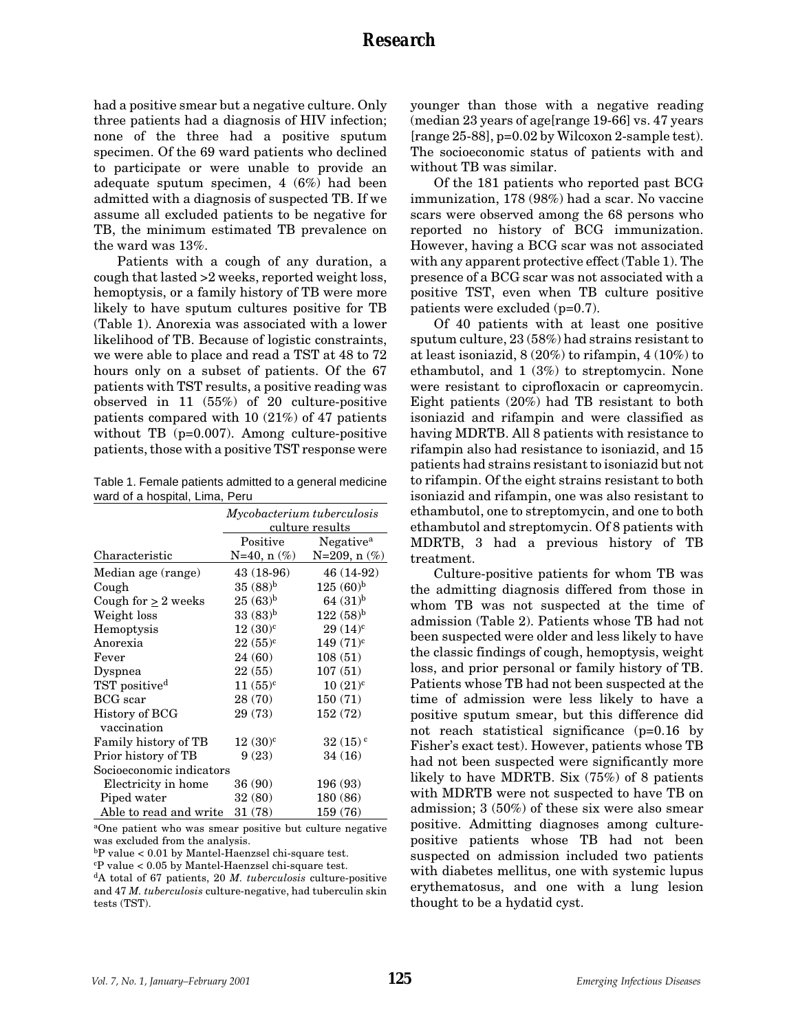had a positive smear but a negative culture. Only three patients had a diagnosis of HIV infection; none of the three had a positive sputum specimen. Of the 69 ward patients who declined to participate or were unable to provide an adequate sputum specimen, 4 (6%) had been admitted with a diagnosis of suspected TB. If we assume all excluded patients to be negative for TB, the minimum estimated TB prevalence on the ward was 13%.

Patients with a cough of any duration, a cough that lasted >2 weeks, reported weight loss, hemoptysis, or a family history of TB were more likely to have sputum cultures positive for TB (Table 1). Anorexia was associated with a lower likelihood of TB. Because of logistic constraints, we were able to place and read a TST at 48 to 72 hours only on a subset of patients. Of the 67 patients with TST results, a positive reading was observed in 11 (55%) of 20 culture-positive patients compared with 10 (21%) of 47 patients without TB (p=0.007). Among culture-positive patients, those with a positive TST response were

Table 1. Female patients admitted to a general medicine ward of a hospital, Lima, Peru

|                           | Mycobacterium tuberculosis<br>culture results |                       |  |
|---------------------------|-----------------------------------------------|-----------------------|--|
|                           |                                               |                       |  |
|                           | Positive                                      | Negative <sup>a</sup> |  |
| Characteristic            | $N=40, n(\%)$                                 | $N=209, n(\%)$        |  |
| Median age (range)        | 43 (18-96)                                    | 46 (14-92)            |  |
| Cough                     | $35(88)^{b}$                                  | $125(60)^{b}$         |  |
| Cough for $> 2$ weeks     | $25(63)^{b}$                                  | 64 $(31)^{b}$         |  |
| Weight loss               | $33(83)^{b}$                                  | $122(58)^{b}$         |  |
| Hemoptysis                | $12(30)^c$                                    | $29(14)^c$            |  |
| Anorexia                  | $22 (55)^c$                                   | 149 (71) <sup>c</sup> |  |
| Fever                     | 24 (60)                                       | 108(51)               |  |
| Dyspnea                   | 22(55)                                        | 107(51)               |  |
| TST positive <sup>d</sup> | $11 (55)^c$                                   | $10(21)^{c}$          |  |
| <b>BCG</b> scar           | 28 (70)                                       | 150(71)               |  |
| History of BCG            | 29 (73)                                       | 152 (72)              |  |
| vaccination               |                                               |                       |  |
| Family history of TB      | $12(30)^{c}$                                  | $32(15)$ <sup>c</sup> |  |
| Prior history of TB       | 9(23)                                         | 34(16)                |  |
| Socioeconomic indicators  |                                               |                       |  |
| Electricity in home       | 36 (90)                                       | 196 (93)              |  |
| Piped water               | 32(80)                                        | 180 (86)              |  |
| Able to read and write    | 31 (78)                                       | 159 (76)              |  |

aOne patient who was smear positive but culture negative was excluded from the analysis.

bP value < 0.01 by Mantel-Haenzsel chi-square test.

c P value < 0.05 by Mantel-Haenzsel chi-square test.

dA total of 67 patients, 20 *M. tuberculosis* culture-positive and 47 *M. tuberculosis* culture-negative, had tuberculin skin tests (TST).

younger than those with a negative reading (median 23 years of age[range 19-66] vs. 47 years [range 25-88], p=0.02 by Wilcoxon 2-sample test). The socioeconomic status of patients with and without TB was similar.

Of the 181 patients who reported past BCG immunization, 178 (98%) had a scar. No vaccine scars were observed among the 68 persons who reported no history of BCG immunization. However, having a BCG scar was not associated with any apparent protective effect (Table 1). The presence of a BCG scar was not associated with a positive TST, even when TB culture positive patients were excluded (p=0.7).

Of 40 patients with at least one positive sputum culture, 23 (58%) had strains resistant to at least isoniazid, 8 (20%) to rifampin, 4 (10%) to ethambutol, and 1 (3%) to streptomycin. None were resistant to ciprofloxacin or capreomycin. Eight patients (20%) had TB resistant to both isoniazid and rifampin and were classified as having MDRTB. All 8 patients with resistance to rifampin also had resistance to isoniazid, and 15 patients had strains resistant to isoniazid but not to rifampin. Of the eight strains resistant to both isoniazid and rifampin, one was also resistant to ethambutol, one to streptomycin, and one to both ethambutol and streptomycin. Of 8 patients with MDRTB, 3 had a previous history of TB treatment.

Culture-positive patients for whom TB was the admitting diagnosis differed from those in whom TB was not suspected at the time of admission (Table 2). Patients whose TB had not been suspected were older and less likely to have the classic findings of cough, hemoptysis, weight loss, and prior personal or family history of TB. Patients whose TB had not been suspected at the time of admission were less likely to have a positive sputum smear, but this difference did not reach statistical significance (p=0.16 by Fisher's exact test). However, patients whose TB had not been suspected were significantly more likely to have MDRTB. Six (75%) of 8 patients with MDRTB were not suspected to have TB on admission; 3 (50%) of these six were also smear positive. Admitting diagnoses among culturepositive patients whose TB had not been suspected on admission included two patients with diabetes mellitus, one with systemic lupus erythematosus, and one with a lung lesion thought to be a hydatid cyst.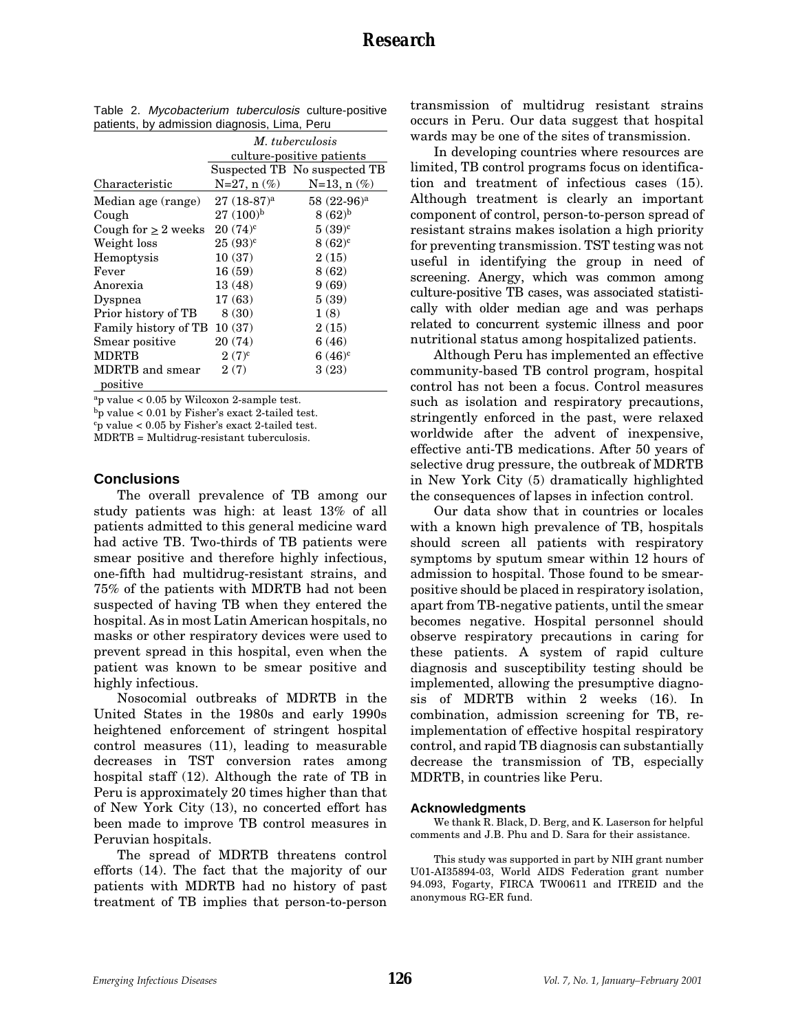|                             | M. tuberculosis<br>culture-positive patients |                              |  |
|-----------------------------|----------------------------------------------|------------------------------|--|
|                             |                                              | Suspected TB No suspected TB |  |
| Characteristic              | $N=27, n(\%)$                                | $N=13, n(\%)$                |  |
| Median age (range)          | $27(18-87)^a$                                | $58(22-96)^a$                |  |
| Cough                       | $27(100)^{b}$                                | $8(62)^{b}$                  |  |
| Cough for $> 2$ weeks       | $20(74)^c$                                   | $5(39)^c$                    |  |
| Weight loss                 | $25(93)^c$                                   | $8(62)^c$                    |  |
| Hemoptysis                  | 10(37)                                       | 2(15)                        |  |
| Fever                       | 16(59)                                       | 8(62)                        |  |
| Anorexia                    | 13(48)                                       | 9(69)                        |  |
| Dyspnea                     | 17(63)                                       | 5(39)                        |  |
| Prior history of TB         | 8(30)                                        | 1(8)                         |  |
| Family history of TB        | 10(37)                                       | 2(15)                        |  |
| Smear positive              | 20(74)                                       | 6(46)                        |  |
| <b>MDRTB</b>                | $2(7)^{c}$                                   | $6(46)^c$                    |  |
| MDRTB and smear<br>positive | 2(7)                                         | 3(23)                        |  |

| Table 2. Mycobacterium tuberculosis culture-positive |  |
|------------------------------------------------------|--|
| patients, by admission diagnosis, Lima, Peru         |  |

 $a_p$  value < 0.05 by Wilcoxon 2-sample test.

b<sub>p</sub> value <  $0.01$  by Fisher's exact 2-tailed test.

c p value < 0.05 by Fisher's exact 2-tailed test.

MDRTB = Multidrug-resistant tuberculosis.

#### **Conclusions**

The overall prevalence of TB among our study patients was high: at least 13% of all patients admitted to this general medicine ward had active TB. Two-thirds of TB patients were smear positive and therefore highly infectious, one-fifth had multidrug-resistant strains, and 75% of the patients with MDRTB had not been suspected of having TB when they entered the hospital. As in most Latin American hospitals, no masks or other respiratory devices were used to prevent spread in this hospital, even when the patient was known to be smear positive and highly infectious.

Nosocomial outbreaks of MDRTB in the United States in the 1980s and early 1990s heightened enforcement of stringent hospital control measures (11), leading to measurable decreases in TST conversion rates among hospital staff (12). Although the rate of TB in Peru is approximately 20 times higher than that of New York City (13), no concerted effort has been made to improve TB control measures in Peruvian hospitals.

The spread of MDRTB threatens control efforts (14). The fact that the majority of our patients with MDRTB had no history of past treatment of TB implies that person-to-person transmission of multidrug resistant strains occurs in Peru. Our data suggest that hospital wards may be one of the sites of transmission.

In developing countries where resources are limited, TB control programs focus on identification and treatment of infectious cases (15). Although treatment is clearly an important component of control, person-to-person spread of resistant strains makes isolation a high priority for preventing transmission. TST testing was not useful in identifying the group in need of screening. Anergy, which was common among culture-positive TB cases, was associated statistically with older median age and was perhaps related to concurrent systemic illness and poor nutritional status among hospitalized patients.

Although Peru has implemented an effective community-based TB control program, hospital control has not been a focus. Control measures such as isolation and respiratory precautions, stringently enforced in the past, were relaxed worldwide after the advent of inexpensive, effective anti-TB medications. After 50 years of selective drug pressure, the outbreak of MDRTB in New York City (5) dramatically highlighted the consequences of lapses in infection control.

Our data show that in countries or locales with a known high prevalence of TB, hospitals should screen all patients with respiratory symptoms by sputum smear within 12 hours of admission to hospital. Those found to be smearpositive should be placed in respiratory isolation, apart from TB-negative patients, until the smear becomes negative. Hospital personnel should observe respiratory precautions in caring for these patients. A system of rapid culture diagnosis and susceptibility testing should be implemented, allowing the presumptive diagnosis of MDRTB within 2 weeks (16). In combination, admission screening for TB, reimplementation of effective hospital respiratory control, and rapid TB diagnosis can substantially decrease the transmission of TB, especially MDRTB, in countries like Peru.

#### **Acknowledgments**

We thank R. Black, D. Berg, and K. Laserson for helpful comments and J.B. Phu and D. Sara for their assistance.

This study was supported in part by NIH grant number U01-AI35894-03, World AIDS Federation grant number 94.093, Fogarty, FIRCA TW00611 and ITREID and the anonymous RG-ER fund.